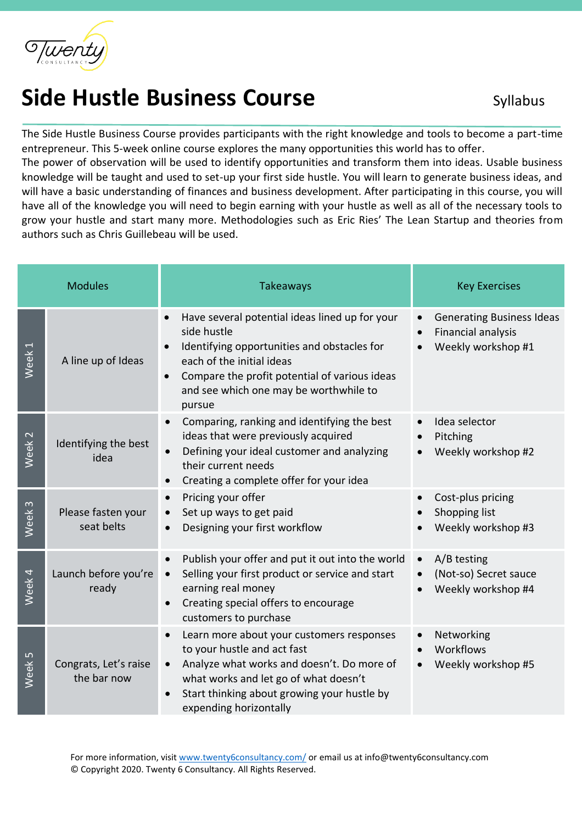

## **Side Hustle Business Course** Syllabus

The Side Hustle Business Course provides participants with the right knowledge and tools to become a part-time entrepreneur. This 5-week online course explores the many opportunities this world has to offer.

The power of observation will be used to identify opportunities and transform them into ideas. Usable business knowledge will be taught and used to set-up your first side hustle. You will learn to generate business ideas, and will have a basic understanding of finances and business development. After participating in this course, you will have all of the knowledge you will need to begin earning with your hustle as well as all of the necessary tools to grow your hustle and start many more. Methodologies such as Eric Ries' The Lean Startup and theories from authors such as Chris Guillebeau will be used.

| <b>Modules</b>    |                                      | <b>Takeaways</b>                                                                                                                                                                                                                                                   | <b>Key Exercises</b>                                                                |
|-------------------|--------------------------------------|--------------------------------------------------------------------------------------------------------------------------------------------------------------------------------------------------------------------------------------------------------------------|-------------------------------------------------------------------------------------|
| Week <sub>1</sub> | A line up of Ideas                   | Have several potential ideas lined up for your<br>side hustle<br>Identifying opportunities and obstacles for<br>each of the initial ideas<br>Compare the profit potential of various ideas<br>$\bullet$<br>and see which one may be worthwhile to<br>pursue        | <b>Generating Business Ideas</b><br><b>Financial analysis</b><br>Weekly workshop #1 |
| Week <sub>2</sub> | Identifying the best<br>idea         | Comparing, ranking and identifying the best<br>$\bullet$<br>ideas that were previously acquired<br>Defining your ideal customer and analyzing<br>their current needs<br>Creating a complete offer for your idea                                                    | Idea selector<br>Pitching<br>Weekly workshop #2                                     |
| $\infty$<br>Week  | Please fasten your<br>seat belts     | Pricing your offer<br>$\bullet$<br>Set up ways to get paid<br>Designing your first workflow                                                                                                                                                                        | Cost-plus pricing<br>Shopping list<br>Weekly workshop #3                            |
| Week 4            | Launch before you're<br>ready        | Publish your offer and put it out into the world<br>$\bullet$<br>Selling your first product or service and start<br>$\bullet$<br>earning real money<br>Creating special offers to encourage<br>$\bullet$<br>customers to purchase                                  | A/B testing<br>(Not-so) Secret sauce<br>Weekly workshop #4                          |
| Week <sub>5</sub> | Congrats, Let's raise<br>the bar now | Learn more about your customers responses<br>$\bullet$<br>to your hustle and act fast<br>Analyze what works and doesn't. Do more of<br>$\bullet$<br>what works and let go of what doesn't<br>Start thinking about growing your hustle by<br>expending horizontally | Networking<br>Workflows<br>Weekly workshop #5                                       |